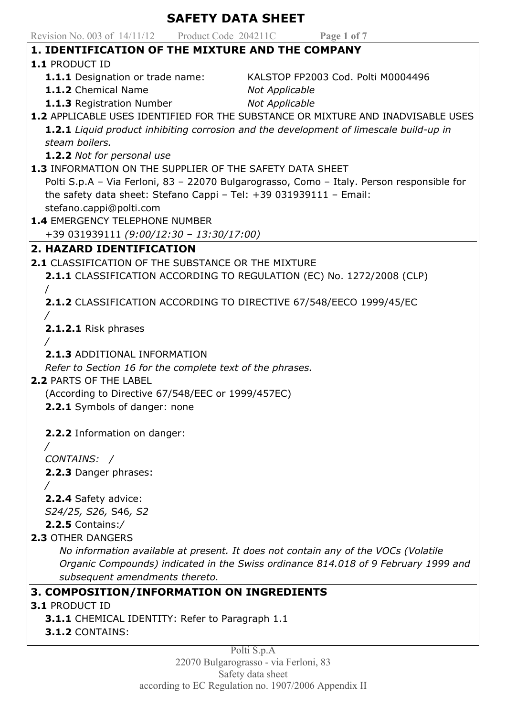| Revision No. 003 of 14/11/12 Product Code 204211C Page 1 of 7<br><b>1. IDENTIFICATION OF THE MIXTURE AND THE COMPANY</b><br><b>1.1 PRODUCT ID</b><br>1.1.1 Designation or trade name:<br>KALSTOP FP2003 Cod. Polti M0004496<br>1.1.2 Chemical Name<br><b>Not Applicable</b><br><b>1.1.3</b> Registration Number<br><b>Not Applicable</b><br>1.2 APPLICABLE USES IDENTIFIED FOR THE SUBSTANCE OR MIXTURE AND INADVISABLE USES<br>1.2.1 Liquid product inhibiting corrosion and the development of limescale build-up in<br>steam boilers.<br>1.2.2 Not for personal use<br>1.3 INFORMATION ON THE SUPPLIER OF THE SAFETY DATA SHEET<br>Polti S.p.A - Via Ferloni, 83 - 22070 Bulgarograsso, Como - Italy. Person responsible for<br>the safety data sheet: Stefano Cappi - Tel: $+39$ 031939111 - Email:<br>stefano.cappi@polti.com<br><b>1.4 EMERGENCY TELEPHONE NUMBER</b><br>+39 031939111 (9:00/12:30 - 13:30/17:00)<br>2. HAZARD IDENTIFICATION<br>2.1 CLASSIFICATION OF THE SUBSTANCE OR THE MIXTURE<br>2.1.1 CLASSIFICATION ACCORDING TO REGULATION (EC) No. 1272/2008 (CLP)<br><b>2.1.2</b> CLASSIFICATION ACCORDING TO DIRECTIVE 67/548/EECO 1999/45/EC<br>2.1.2.1 Risk phrases<br>2.1.3 ADDITIONAL INFORMATION<br>Refer to Section 16 for the complete text of the phrases.<br><b>2.2 PARTS OF THE LABEL</b><br>(According to Directive 67/548/EEC or 1999/457EC)<br>2.2.1 Symbols of danger: none<br>2.2.2 Information on danger:<br>CONTAINS: /<br>2.2.3 Danger phrases:<br>2.2.4 Safety advice:<br>S24/25, S26, S46, S2<br>$2.2.5$ Contains:/<br>2.3 OTHER DANGERS<br>No information available at present. It does not contain any of the VOCs (Volatile<br>Organic Compounds) indicated in the Swiss ordinance 814.018 of 9 February 1999 and<br>subsequent amendments thereto.<br>3. COMPOSITION/INFORMATION ON INGREDIENTS<br><b>3.1 PRODUCT ID</b><br><b>3.1.1</b> CHEMICAL IDENTITY: Refer to Paragraph 1.1<br>3.1.2 CONTAINS:<br>Polti S.p.A<br>22070 Bulgarograsso - via Ferloni, 83 | <b>SAFETY DATA SHEET</b> |  |  |
|---------------------------------------------------------------------------------------------------------------------------------------------------------------------------------------------------------------------------------------------------------------------------------------------------------------------------------------------------------------------------------------------------------------------------------------------------------------------------------------------------------------------------------------------------------------------------------------------------------------------------------------------------------------------------------------------------------------------------------------------------------------------------------------------------------------------------------------------------------------------------------------------------------------------------------------------------------------------------------------------------------------------------------------------------------------------------------------------------------------------------------------------------------------------------------------------------------------------------------------------------------------------------------------------------------------------------------------------------------------------------------------------------------------------------------------------------------------------------------------------------------------------------------------------------------------------------------------------------------------------------------------------------------------------------------------------------------------------------------------------------------------------------------------------------------------------------------------------------------------------------------------------------------------------------------------------------------------------------------------------------------|--------------------------|--|--|
|                                                                                                                                                                                                                                                                                                                                                                                                                                                                                                                                                                                                                                                                                                                                                                                                                                                                                                                                                                                                                                                                                                                                                                                                                                                                                                                                                                                                                                                                                                                                                                                                                                                                                                                                                                                                                                                                                                                                                                                                         |                          |  |  |
|                                                                                                                                                                                                                                                                                                                                                                                                                                                                                                                                                                                                                                                                                                                                                                                                                                                                                                                                                                                                                                                                                                                                                                                                                                                                                                                                                                                                                                                                                                                                                                                                                                                                                                                                                                                                                                                                                                                                                                                                         |                          |  |  |
|                                                                                                                                                                                                                                                                                                                                                                                                                                                                                                                                                                                                                                                                                                                                                                                                                                                                                                                                                                                                                                                                                                                                                                                                                                                                                                                                                                                                                                                                                                                                                                                                                                                                                                                                                                                                                                                                                                                                                                                                         |                          |  |  |
|                                                                                                                                                                                                                                                                                                                                                                                                                                                                                                                                                                                                                                                                                                                                                                                                                                                                                                                                                                                                                                                                                                                                                                                                                                                                                                                                                                                                                                                                                                                                                                                                                                                                                                                                                                                                                                                                                                                                                                                                         |                          |  |  |
|                                                                                                                                                                                                                                                                                                                                                                                                                                                                                                                                                                                                                                                                                                                                                                                                                                                                                                                                                                                                                                                                                                                                                                                                                                                                                                                                                                                                                                                                                                                                                                                                                                                                                                                                                                                                                                                                                                                                                                                                         |                          |  |  |
|                                                                                                                                                                                                                                                                                                                                                                                                                                                                                                                                                                                                                                                                                                                                                                                                                                                                                                                                                                                                                                                                                                                                                                                                                                                                                                                                                                                                                                                                                                                                                                                                                                                                                                                                                                                                                                                                                                                                                                                                         |                          |  |  |
|                                                                                                                                                                                                                                                                                                                                                                                                                                                                                                                                                                                                                                                                                                                                                                                                                                                                                                                                                                                                                                                                                                                                                                                                                                                                                                                                                                                                                                                                                                                                                                                                                                                                                                                                                                                                                                                                                                                                                                                                         |                          |  |  |
|                                                                                                                                                                                                                                                                                                                                                                                                                                                                                                                                                                                                                                                                                                                                                                                                                                                                                                                                                                                                                                                                                                                                                                                                                                                                                                                                                                                                                                                                                                                                                                                                                                                                                                                                                                                                                                                                                                                                                                                                         |                          |  |  |
|                                                                                                                                                                                                                                                                                                                                                                                                                                                                                                                                                                                                                                                                                                                                                                                                                                                                                                                                                                                                                                                                                                                                                                                                                                                                                                                                                                                                                                                                                                                                                                                                                                                                                                                                                                                                                                                                                                                                                                                                         |                          |  |  |
|                                                                                                                                                                                                                                                                                                                                                                                                                                                                                                                                                                                                                                                                                                                                                                                                                                                                                                                                                                                                                                                                                                                                                                                                                                                                                                                                                                                                                                                                                                                                                                                                                                                                                                                                                                                                                                                                                                                                                                                                         |                          |  |  |
|                                                                                                                                                                                                                                                                                                                                                                                                                                                                                                                                                                                                                                                                                                                                                                                                                                                                                                                                                                                                                                                                                                                                                                                                                                                                                                                                                                                                                                                                                                                                                                                                                                                                                                                                                                                                                                                                                                                                                                                                         |                          |  |  |
|                                                                                                                                                                                                                                                                                                                                                                                                                                                                                                                                                                                                                                                                                                                                                                                                                                                                                                                                                                                                                                                                                                                                                                                                                                                                                                                                                                                                                                                                                                                                                                                                                                                                                                                                                                                                                                                                                                                                                                                                         |                          |  |  |
|                                                                                                                                                                                                                                                                                                                                                                                                                                                                                                                                                                                                                                                                                                                                                                                                                                                                                                                                                                                                                                                                                                                                                                                                                                                                                                                                                                                                                                                                                                                                                                                                                                                                                                                                                                                                                                                                                                                                                                                                         |                          |  |  |
|                                                                                                                                                                                                                                                                                                                                                                                                                                                                                                                                                                                                                                                                                                                                                                                                                                                                                                                                                                                                                                                                                                                                                                                                                                                                                                                                                                                                                                                                                                                                                                                                                                                                                                                                                                                                                                                                                                                                                                                                         |                          |  |  |
|                                                                                                                                                                                                                                                                                                                                                                                                                                                                                                                                                                                                                                                                                                                                                                                                                                                                                                                                                                                                                                                                                                                                                                                                                                                                                                                                                                                                                                                                                                                                                                                                                                                                                                                                                                                                                                                                                                                                                                                                         |                          |  |  |
|                                                                                                                                                                                                                                                                                                                                                                                                                                                                                                                                                                                                                                                                                                                                                                                                                                                                                                                                                                                                                                                                                                                                                                                                                                                                                                                                                                                                                                                                                                                                                                                                                                                                                                                                                                                                                                                                                                                                                                                                         |                          |  |  |
|                                                                                                                                                                                                                                                                                                                                                                                                                                                                                                                                                                                                                                                                                                                                                                                                                                                                                                                                                                                                                                                                                                                                                                                                                                                                                                                                                                                                                                                                                                                                                                                                                                                                                                                                                                                                                                                                                                                                                                                                         |                          |  |  |
|                                                                                                                                                                                                                                                                                                                                                                                                                                                                                                                                                                                                                                                                                                                                                                                                                                                                                                                                                                                                                                                                                                                                                                                                                                                                                                                                                                                                                                                                                                                                                                                                                                                                                                                                                                                                                                                                                                                                                                                                         |                          |  |  |
|                                                                                                                                                                                                                                                                                                                                                                                                                                                                                                                                                                                                                                                                                                                                                                                                                                                                                                                                                                                                                                                                                                                                                                                                                                                                                                                                                                                                                                                                                                                                                                                                                                                                                                                                                                                                                                                                                                                                                                                                         |                          |  |  |
|                                                                                                                                                                                                                                                                                                                                                                                                                                                                                                                                                                                                                                                                                                                                                                                                                                                                                                                                                                                                                                                                                                                                                                                                                                                                                                                                                                                                                                                                                                                                                                                                                                                                                                                                                                                                                                                                                                                                                                                                         |                          |  |  |
|                                                                                                                                                                                                                                                                                                                                                                                                                                                                                                                                                                                                                                                                                                                                                                                                                                                                                                                                                                                                                                                                                                                                                                                                                                                                                                                                                                                                                                                                                                                                                                                                                                                                                                                                                                                                                                                                                                                                                                                                         |                          |  |  |
|                                                                                                                                                                                                                                                                                                                                                                                                                                                                                                                                                                                                                                                                                                                                                                                                                                                                                                                                                                                                                                                                                                                                                                                                                                                                                                                                                                                                                                                                                                                                                                                                                                                                                                                                                                                                                                                                                                                                                                                                         |                          |  |  |
|                                                                                                                                                                                                                                                                                                                                                                                                                                                                                                                                                                                                                                                                                                                                                                                                                                                                                                                                                                                                                                                                                                                                                                                                                                                                                                                                                                                                                                                                                                                                                                                                                                                                                                                                                                                                                                                                                                                                                                                                         |                          |  |  |
|                                                                                                                                                                                                                                                                                                                                                                                                                                                                                                                                                                                                                                                                                                                                                                                                                                                                                                                                                                                                                                                                                                                                                                                                                                                                                                                                                                                                                                                                                                                                                                                                                                                                                                                                                                                                                                                                                                                                                                                                         |                          |  |  |
|                                                                                                                                                                                                                                                                                                                                                                                                                                                                                                                                                                                                                                                                                                                                                                                                                                                                                                                                                                                                                                                                                                                                                                                                                                                                                                                                                                                                                                                                                                                                                                                                                                                                                                                                                                                                                                                                                                                                                                                                         |                          |  |  |
|                                                                                                                                                                                                                                                                                                                                                                                                                                                                                                                                                                                                                                                                                                                                                                                                                                                                                                                                                                                                                                                                                                                                                                                                                                                                                                                                                                                                                                                                                                                                                                                                                                                                                                                                                                                                                                                                                                                                                                                                         |                          |  |  |
|                                                                                                                                                                                                                                                                                                                                                                                                                                                                                                                                                                                                                                                                                                                                                                                                                                                                                                                                                                                                                                                                                                                                                                                                                                                                                                                                                                                                                                                                                                                                                                                                                                                                                                                                                                                                                                                                                                                                                                                                         |                          |  |  |
|                                                                                                                                                                                                                                                                                                                                                                                                                                                                                                                                                                                                                                                                                                                                                                                                                                                                                                                                                                                                                                                                                                                                                                                                                                                                                                                                                                                                                                                                                                                                                                                                                                                                                                                                                                                                                                                                                                                                                                                                         |                          |  |  |
|                                                                                                                                                                                                                                                                                                                                                                                                                                                                                                                                                                                                                                                                                                                                                                                                                                                                                                                                                                                                                                                                                                                                                                                                                                                                                                                                                                                                                                                                                                                                                                                                                                                                                                                                                                                                                                                                                                                                                                                                         |                          |  |  |
|                                                                                                                                                                                                                                                                                                                                                                                                                                                                                                                                                                                                                                                                                                                                                                                                                                                                                                                                                                                                                                                                                                                                                                                                                                                                                                                                                                                                                                                                                                                                                                                                                                                                                                                                                                                                                                                                                                                                                                                                         |                          |  |  |
|                                                                                                                                                                                                                                                                                                                                                                                                                                                                                                                                                                                                                                                                                                                                                                                                                                                                                                                                                                                                                                                                                                                                                                                                                                                                                                                                                                                                                                                                                                                                                                                                                                                                                                                                                                                                                                                                                                                                                                                                         |                          |  |  |
|                                                                                                                                                                                                                                                                                                                                                                                                                                                                                                                                                                                                                                                                                                                                                                                                                                                                                                                                                                                                                                                                                                                                                                                                                                                                                                                                                                                                                                                                                                                                                                                                                                                                                                                                                                                                                                                                                                                                                                                                         |                          |  |  |
|                                                                                                                                                                                                                                                                                                                                                                                                                                                                                                                                                                                                                                                                                                                                                                                                                                                                                                                                                                                                                                                                                                                                                                                                                                                                                                                                                                                                                                                                                                                                                                                                                                                                                                                                                                                                                                                                                                                                                                                                         |                          |  |  |
|                                                                                                                                                                                                                                                                                                                                                                                                                                                                                                                                                                                                                                                                                                                                                                                                                                                                                                                                                                                                                                                                                                                                                                                                                                                                                                                                                                                                                                                                                                                                                                                                                                                                                                                                                                                                                                                                                                                                                                                                         |                          |  |  |
|                                                                                                                                                                                                                                                                                                                                                                                                                                                                                                                                                                                                                                                                                                                                                                                                                                                                                                                                                                                                                                                                                                                                                                                                                                                                                                                                                                                                                                                                                                                                                                                                                                                                                                                                                                                                                                                                                                                                                                                                         |                          |  |  |
|                                                                                                                                                                                                                                                                                                                                                                                                                                                                                                                                                                                                                                                                                                                                                                                                                                                                                                                                                                                                                                                                                                                                                                                                                                                                                                                                                                                                                                                                                                                                                                                                                                                                                                                                                                                                                                                                                                                                                                                                         |                          |  |  |
|                                                                                                                                                                                                                                                                                                                                                                                                                                                                                                                                                                                                                                                                                                                                                                                                                                                                                                                                                                                                                                                                                                                                                                                                                                                                                                                                                                                                                                                                                                                                                                                                                                                                                                                                                                                                                                                                                                                                                                                                         |                          |  |  |
|                                                                                                                                                                                                                                                                                                                                                                                                                                                                                                                                                                                                                                                                                                                                                                                                                                                                                                                                                                                                                                                                                                                                                                                                                                                                                                                                                                                                                                                                                                                                                                                                                                                                                                                                                                                                                                                                                                                                                                                                         |                          |  |  |
|                                                                                                                                                                                                                                                                                                                                                                                                                                                                                                                                                                                                                                                                                                                                                                                                                                                                                                                                                                                                                                                                                                                                                                                                                                                                                                                                                                                                                                                                                                                                                                                                                                                                                                                                                                                                                                                                                                                                                                                                         |                          |  |  |
|                                                                                                                                                                                                                                                                                                                                                                                                                                                                                                                                                                                                                                                                                                                                                                                                                                                                                                                                                                                                                                                                                                                                                                                                                                                                                                                                                                                                                                                                                                                                                                                                                                                                                                                                                                                                                                                                                                                                                                                                         |                          |  |  |
|                                                                                                                                                                                                                                                                                                                                                                                                                                                                                                                                                                                                                                                                                                                                                                                                                                                                                                                                                                                                                                                                                                                                                                                                                                                                                                                                                                                                                                                                                                                                                                                                                                                                                                                                                                                                                                                                                                                                                                                                         |                          |  |  |
|                                                                                                                                                                                                                                                                                                                                                                                                                                                                                                                                                                                                                                                                                                                                                                                                                                                                                                                                                                                                                                                                                                                                                                                                                                                                                                                                                                                                                                                                                                                                                                                                                                                                                                                                                                                                                                                                                                                                                                                                         |                          |  |  |
|                                                                                                                                                                                                                                                                                                                                                                                                                                                                                                                                                                                                                                                                                                                                                                                                                                                                                                                                                                                                                                                                                                                                                                                                                                                                                                                                                                                                                                                                                                                                                                                                                                                                                                                                                                                                                                                                                                                                                                                                         |                          |  |  |
|                                                                                                                                                                                                                                                                                                                                                                                                                                                                                                                                                                                                                                                                                                                                                                                                                                                                                                                                                                                                                                                                                                                                                                                                                                                                                                                                                                                                                                                                                                                                                                                                                                                                                                                                                                                                                                                                                                                                                                                                         |                          |  |  |
|                                                                                                                                                                                                                                                                                                                                                                                                                                                                                                                                                                                                                                                                                                                                                                                                                                                                                                                                                                                                                                                                                                                                                                                                                                                                                                                                                                                                                                                                                                                                                                                                                                                                                                                                                                                                                                                                                                                                                                                                         |                          |  |  |
|                                                                                                                                                                                                                                                                                                                                                                                                                                                                                                                                                                                                                                                                                                                                                                                                                                                                                                                                                                                                                                                                                                                                                                                                                                                                                                                                                                                                                                                                                                                                                                                                                                                                                                                                                                                                                                                                                                                                                                                                         |                          |  |  |
|                                                                                                                                                                                                                                                                                                                                                                                                                                                                                                                                                                                                                                                                                                                                                                                                                                                                                                                                                                                                                                                                                                                                                                                                                                                                                                                                                                                                                                                                                                                                                                                                                                                                                                                                                                                                                                                                                                                                                                                                         |                          |  |  |

Safety data sheet according to EC Regulation no. 1907/2006 Appendix II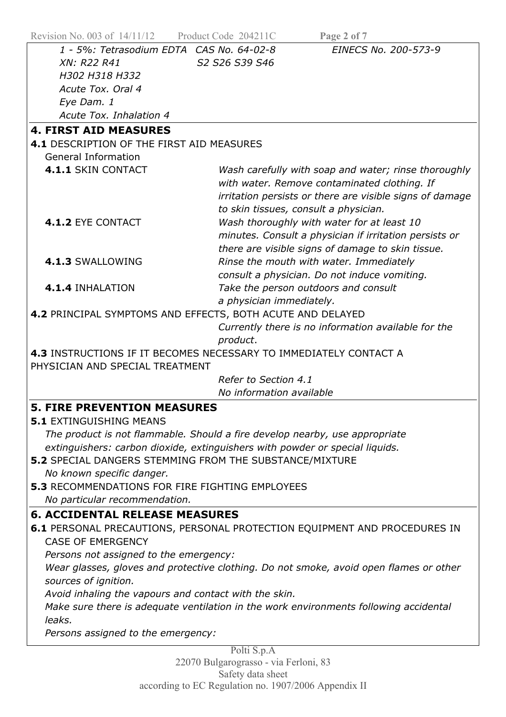| Revision No. 003 of $14/11/12$                                                                                                          | Product Code 204211C<br>Page 2 of 7                                                                                                                                                                       |  |  |
|-----------------------------------------------------------------------------------------------------------------------------------------|-----------------------------------------------------------------------------------------------------------------------------------------------------------------------------------------------------------|--|--|
| 1 - 5%: Tetrasodium EDTA CAS No. 64-02-8                                                                                                | EINECS No. 200-573-9                                                                                                                                                                                      |  |  |
| XN: R22 R41                                                                                                                             | S2 S26 S39 S46                                                                                                                                                                                            |  |  |
| H302 H318 H332                                                                                                                          |                                                                                                                                                                                                           |  |  |
| Acute Tox. Oral 4                                                                                                                       |                                                                                                                                                                                                           |  |  |
| Eye Dam. 1                                                                                                                              |                                                                                                                                                                                                           |  |  |
| Acute Tox. Inhalation 4                                                                                                                 |                                                                                                                                                                                                           |  |  |
| <b>4. FIRST AID MEASURES</b>                                                                                                            |                                                                                                                                                                                                           |  |  |
| 4.1 DESCRIPTION OF THE FIRST AID MEASURES                                                                                               |                                                                                                                                                                                                           |  |  |
| <b>General Information</b>                                                                                                              |                                                                                                                                                                                                           |  |  |
| 4.1.1 SKIN CONTACT                                                                                                                      | Wash carefully with soap and water; rinse thoroughly<br>with water. Remove contaminated clothing. If<br>irritation persists or there are visible signs of damage<br>to skin tissues, consult a physician. |  |  |
| 4.1.2 EYE CONTACT                                                                                                                       | Wash thoroughly with water for at least 10<br>minutes. Consult a physician if irritation persists or<br>there are visible signs of damage to skin tissue.                                                 |  |  |
| 4.1.3 SWALLOWING                                                                                                                        | Rinse the mouth with water. Immediately<br>consult a physician. Do not induce vomiting.                                                                                                                   |  |  |
| 4.1.4 INHALATION                                                                                                                        | Take the person outdoors and consult<br>a physician immediately.                                                                                                                                          |  |  |
| 4.2 PRINCIPAL SYMPTOMS AND EFFECTS, BOTH ACUTE AND DELAYED                                                                              |                                                                                                                                                                                                           |  |  |
|                                                                                                                                         | Currently there is no information available for the                                                                                                                                                       |  |  |
|                                                                                                                                         | product.                                                                                                                                                                                                  |  |  |
| PHYSICIAN AND SPECIAL TREATMENT                                                                                                         | 4.3 INSTRUCTIONS IF IT BECOMES NECESSARY TO IMMEDIATELY CONTACT A                                                                                                                                         |  |  |
|                                                                                                                                         | Refer to Section 4.1                                                                                                                                                                                      |  |  |
|                                                                                                                                         | No information available                                                                                                                                                                                  |  |  |
| <b>5. FIRE PREVENTION MEASURES</b>                                                                                                      |                                                                                                                                                                                                           |  |  |
| <b>5.1 EXTINGUISHING MEANS</b>                                                                                                          |                                                                                                                                                                                                           |  |  |
| The product is not flammable. Should a fire develop nearby, use appropriate                                                             |                                                                                                                                                                                                           |  |  |
|                                                                                                                                         |                                                                                                                                                                                                           |  |  |
| extinguishers: carbon dioxide, extinguishers with powder or special liquids.<br>5.2 SPECIAL DANGERS STEMMING FROM THE SUBSTANCE/MIXTURE |                                                                                                                                                                                                           |  |  |
|                                                                                                                                         |                                                                                                                                                                                                           |  |  |
| No known specific danger.<br><b>5.3 RECOMMENDATIONS FOR FIRE FIGHTING EMPLOYEES</b>                                                     |                                                                                                                                                                                                           |  |  |
|                                                                                                                                         |                                                                                                                                                                                                           |  |  |
| No particular recommendation.                                                                                                           |                                                                                                                                                                                                           |  |  |
| <b>6. ACCIDENTAL RELEASE MEASURES</b>                                                                                                   |                                                                                                                                                                                                           |  |  |
| 6.1 PERSONAL PRECAUTIONS, PERSONAL PROTECTION EQUIPMENT AND PROCEDURES IN                                                               |                                                                                                                                                                                                           |  |  |
| <b>CASE OF EMERGENCY</b>                                                                                                                |                                                                                                                                                                                                           |  |  |
| Persons not assigned to the emergency:                                                                                                  |                                                                                                                                                                                                           |  |  |
| Wear glasses, gloves and protective clothing. Do not smoke, avoid open flames or other                                                  |                                                                                                                                                                                                           |  |  |
| sources of ignition.                                                                                                                    |                                                                                                                                                                                                           |  |  |
| Avoid inhaling the vapours and contact with the skin.                                                                                   |                                                                                                                                                                                                           |  |  |
| Make sure there is adequate ventilation in the work environments following accidental                                                   |                                                                                                                                                                                                           |  |  |
| leaks.                                                                                                                                  |                                                                                                                                                                                                           |  |  |
| Persons assigned to the emergency:                                                                                                      |                                                                                                                                                                                                           |  |  |
|                                                                                                                                         | Polti S.p.A                                                                                                                                                                                               |  |  |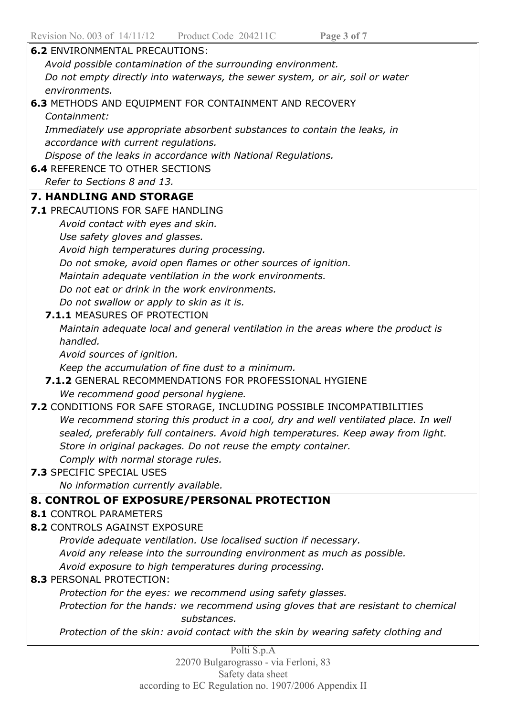| Revision No. 003 of $14/11/12$ Product Code 204211C<br>Page 3 of 7                                                                           |  |  |
|----------------------------------------------------------------------------------------------------------------------------------------------|--|--|
| <b>6.2 ENVIRONMENTAL PRECAUTIONS:</b>                                                                                                        |  |  |
| Avoid possible contamination of the surrounding environment.                                                                                 |  |  |
| Do not empty directly into waterways, the sewer system, or air, soil or water                                                                |  |  |
| environments.                                                                                                                                |  |  |
| <b>6.3 METHODS AND EQUIPMENT FOR CONTAINMENT AND RECOVERY</b>                                                                                |  |  |
| Containment:                                                                                                                                 |  |  |
| Immediately use appropriate absorbent substances to contain the leaks, in                                                                    |  |  |
| accordance with current regulations.                                                                                                         |  |  |
| Dispose of the leaks in accordance with National Regulations.                                                                                |  |  |
| <b>6.4 REFERENCE TO OTHER SECTIONS</b>                                                                                                       |  |  |
| Refer to Sections 8 and 13.                                                                                                                  |  |  |
| <b>7. HANDLING AND STORAGE</b>                                                                                                               |  |  |
| <b>7.1 PRECAUTIONS FOR SAFE HANDLING</b>                                                                                                     |  |  |
| Avoid contact with eyes and skin.                                                                                                            |  |  |
| Use safety gloves and glasses.                                                                                                               |  |  |
| Avoid high temperatures during processing.                                                                                                   |  |  |
| Do not smoke, avoid open flames or other sources of ignition.                                                                                |  |  |
| Maintain adequate ventilation in the work environments.                                                                                      |  |  |
| Do not eat or drink in the work environments.                                                                                                |  |  |
| Do not swallow or apply to skin as it is.                                                                                                    |  |  |
| 7.1.1 MEASURES OF PROTECTION                                                                                                                 |  |  |
| Maintain adequate local and general ventilation in the areas where the product is                                                            |  |  |
| handled.                                                                                                                                     |  |  |
| Avoid sources of ignition.                                                                                                                   |  |  |
| Keep the accumulation of fine dust to a minimum.                                                                                             |  |  |
| 7.1.2 GENERAL RECOMMENDATIONS FOR PROFESSIONAL HYGIENE                                                                                       |  |  |
| We recommend good personal hygiene.                                                                                                          |  |  |
| 7.2 CONDITIONS FOR SAFE STORAGE, INCLUDING POSSIBLE INCOMPATIBILITIES                                                                        |  |  |
| We recommend storing this product in a cool, dry and well ventilated place. In well                                                          |  |  |
| sealed, preferably full containers. Avoid high temperatures. Keep away from light.                                                           |  |  |
| Store in original packages. Do not reuse the empty container.                                                                                |  |  |
| Comply with normal storage rules.                                                                                                            |  |  |
| 7.3 SPECIFIC SPECIAL USES                                                                                                                    |  |  |
| No information currently available.                                                                                                          |  |  |
| 8. CONTROL OF EXPOSURE/PERSONAL PROTECTION<br><b>8.1 CONTROL PARAMETERS</b>                                                                  |  |  |
| <b>8.2 CONTROLS AGAINST EXPOSURE</b>                                                                                                         |  |  |
|                                                                                                                                              |  |  |
| Provide adequate ventilation. Use localised suction if necessary.<br>Avoid any release into the surrounding environment as much as possible. |  |  |
| Avoid exposure to high temperatures during processing.                                                                                       |  |  |
| <b>8.3 PERSONAL PROTECTION:</b>                                                                                                              |  |  |
| Protection for the eyes: we recommend using safety glasses.                                                                                  |  |  |
| Protection for the hands: we recommend using gloves that are resistant to chemical                                                           |  |  |
| substances.                                                                                                                                  |  |  |
| Protection of the skin: avoid contact with the skin by wearing safety clothing and                                                           |  |  |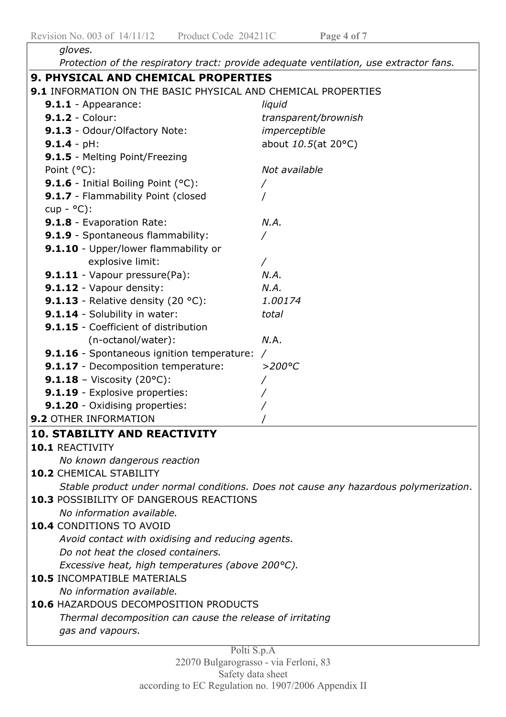| gloves.                                                       |                                                                                        |  |
|---------------------------------------------------------------|----------------------------------------------------------------------------------------|--|
|                                                               | Protection of the respiratory tract: provide adequate ventilation, use extractor fans. |  |
| 9. PHYSICAL AND CHEMICAL PROPERTIES                           |                                                                                        |  |
| 9.1 INFORMATION ON THE BASIC PHYSICAL AND CHEMICAL PROPERTIES |                                                                                        |  |
| 9.1.1 - Appearance:                                           | liquid                                                                                 |  |
| <b>9.1.2 - Colour:</b>                                        | transparent/brownish                                                                   |  |
| 9.1.3 - Odour/Olfactory Note:                                 | imperceptible                                                                          |  |
| $9.1.4 - pH:$                                                 | about 10.5(at 20°C)                                                                    |  |
| 9.1.5 - Melting Point/Freezing                                |                                                                                        |  |
| Point (°C):                                                   | Not available                                                                          |  |
| 9.1.6 - Initial Boiling Point (°C):                           |                                                                                        |  |
| 9.1.7 - Flammability Point (closed                            |                                                                                        |  |
| $cup -$ °C):                                                  |                                                                                        |  |
| 9.1.8 - Evaporation Rate:                                     | N.A.                                                                                   |  |
| 9.1.9 - Spontaneous flammability:                             | $\overline{ }$                                                                         |  |
| 9.1.10 - Upper/lower flammability or                          |                                                                                        |  |
| explosive limit:                                              |                                                                                        |  |
| 9.1.11 - Vapour pressure(Pa):                                 | N.A.                                                                                   |  |
| 9.1.12 - Vapour density:                                      | N.A.                                                                                   |  |
| 9.1.13 - Relative density $(20 °C)$ :                         | 1.00174                                                                                |  |
| 9.1.14 - Solubility in water:                                 | total                                                                                  |  |
| 9.1.15 - Coefficient of distribution                          |                                                                                        |  |
| (n-octanol/water):                                            | N.A.                                                                                   |  |
| <b>9.1.16</b> - Spontaneous ignition temperature: /           |                                                                                        |  |
| 9.1.17 - Decomposition temperature:                           | $>$ 200°C                                                                              |  |
| <b>9.1.18</b> - Viscosity (20°C):                             |                                                                                        |  |
| 9.1.19 - Explosive properties:                                |                                                                                        |  |
| 9.1.20 - Oxidising properties:                                |                                                                                        |  |
| <b>9.2 OTHER INFORMATION</b>                                  |                                                                                        |  |
| <b>10. STABILITY AND REACTIVITY</b>                           |                                                                                        |  |
| 10.1 REACTIVITY                                               |                                                                                        |  |
| No known dangerous reaction                                   |                                                                                        |  |
| <b>10.2 CHEMICAL STABILITY</b>                                |                                                                                        |  |
|                                                               | Stable product under normal conditions. Does not cause any hazardous polymerization.   |  |
| <b>10.3 POSSIBILITY OF DANGEROUS REACTIONS</b>                |                                                                                        |  |
| No information available.                                     |                                                                                        |  |
| 10.4 CONDITIONS TO AVOID                                      |                                                                                        |  |
| Avoid contact with oxidising and reducing agents.             |                                                                                        |  |
| Do not heat the closed containers.                            |                                                                                        |  |
| Excessive heat, high temperatures (above 200°C).              |                                                                                        |  |
| <b>10.5 INCOMPATIBLE MATERIALS</b>                            |                                                                                        |  |
| No information available.                                     |                                                                                        |  |
| <b>10.6 HAZARDOUS DECOMPOSITION PRODUCTS</b>                  |                                                                                        |  |
| Thermal decomposition can cause the release of irritating     |                                                                                        |  |
| gas and vapours.                                              |                                                                                        |  |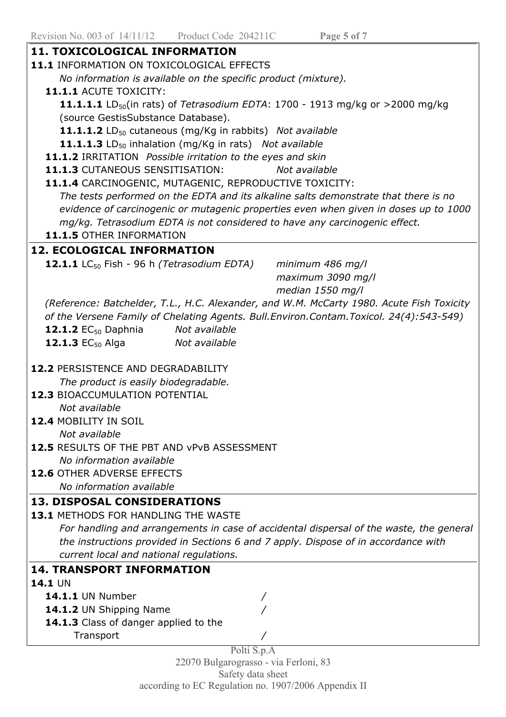$\overline{\mathbb{I}}$ 

| 11.1 INFORMATION ON TOXICOLOGICAL EFFECTS                                                                                                                                                                                                                                     |                   |
|-------------------------------------------------------------------------------------------------------------------------------------------------------------------------------------------------------------------------------------------------------------------------------|-------------------|
| No information is available on the specific product (mixture).                                                                                                                                                                                                                |                   |
| 11.1.1 ACUTE TOXICITY:                                                                                                                                                                                                                                                        |                   |
| <b>11.1.1.1</b> LD <sub>50</sub> (in rats) of <i>Tetrasodium EDTA</i> : 1700 - 1913 mg/kg or >2000 mg/kg                                                                                                                                                                      |                   |
| (source GestisSubstance Database).                                                                                                                                                                                                                                            |                   |
| 11.1.1.2 LD <sub>50</sub> cutaneous (mg/Kg in rabbits) Not available                                                                                                                                                                                                          |                   |
| 11.1.1.3 LD <sub>50</sub> inhalation (mg/Kg in rats) Not available                                                                                                                                                                                                            |                   |
| 11.1.2 IRRITATION Possible irritation to the eyes and skin                                                                                                                                                                                                                    |                   |
| 11.1.3 CUTANEOUS SENSITISATION:                                                                                                                                                                                                                                               | Not available     |
| 11.1.4 CARCINOGENIC, MUTAGENIC, REPRODUCTIVE TOXICITY:                                                                                                                                                                                                                        |                   |
| The tests performed on the EDTA and its alkaline salts demonstrate that there is no                                                                                                                                                                                           |                   |
| evidence of carcinogenic or mutagenic properties even when given in doses up to 1000                                                                                                                                                                                          |                   |
|                                                                                                                                                                                                                                                                               |                   |
| mg/kg. Tetrasodium EDTA is not considered to have any carcinogenic effect.                                                                                                                                                                                                    |                   |
| 11.1.5 OTHER INFORMATION                                                                                                                                                                                                                                                      |                   |
| <b>12. ECOLOGICAL INFORMATION</b>                                                                                                                                                                                                                                             |                   |
| <b>12.1.1</b> LC <sub>50</sub> Fish - 96 h (Tetrasodium EDTA)                                                                                                                                                                                                                 | minimum 486 mg/l  |
|                                                                                                                                                                                                                                                                               | maximum 3090 mg/l |
|                                                                                                                                                                                                                                                                               | median 1550 mg/l  |
| (Reference: Batchelder, T.L., H.C. Alexander, and W.M. McCarty 1980. Acute Fish Toxicity                                                                                                                                                                                      |                   |
| of the Versene Family of Chelating Agents. Bull. Environ. Contam. Toxicol. 24(4): 543-549)                                                                                                                                                                                    |                   |
| <b>12.1.2</b> $EC_{50}$ Daphnia<br>Not available                                                                                                                                                                                                                              |                   |
| <b>12.1.3</b> $EC_{50}$ Alga<br>Not available                                                                                                                                                                                                                                 |                   |
| <b>12.2 PERSISTENCE AND DEGRADABILITY</b>                                                                                                                                                                                                                                     |                   |
| The product is easily biodegradable.<br><b>12.3 BIOACCUMULATION POTENTIAL</b><br>Not available<br>12.4 MOBILITY IN SOIL<br>Not available<br>12.5 RESULTS OF THE PBT AND VPVB ASSESSMENT<br>No information available<br>12.6 OTHER ADVERSE EFFECTS<br>No information available |                   |
| <b>13. DISPOSAL CONSIDERATIONS</b>                                                                                                                                                                                                                                            |                   |
| 13.1 METHODS FOR HANDLING THE WASTE                                                                                                                                                                                                                                           |                   |
|                                                                                                                                                                                                                                                                               |                   |
| For handling and arrangements in case of accidental dispersal of the waste, the general                                                                                                                                                                                       |                   |
| the instructions provided in Sections 6 and 7 apply. Dispose of in accordance with                                                                                                                                                                                            |                   |
| current local and national regulations.                                                                                                                                                                                                                                       |                   |
| <b>14. TRANSPORT INFORMATION</b>                                                                                                                                                                                                                                              |                   |
| 14.1 UN                                                                                                                                                                                                                                                                       |                   |
| <b>14.1.1 UN Number</b>                                                                                                                                                                                                                                                       |                   |
| 14.1.2 UN Shipping Name                                                                                                                                                                                                                                                       |                   |
| 14.1.3 Class of danger applied to the                                                                                                                                                                                                                                         |                   |
| Transport<br>Polti S.p.A                                                                                                                                                                                                                                                      |                   |

22070 Bulgarograsso - via Ferloni, 83 Safety data sheet according to EC Regulation no. 1907/2006 Appendix II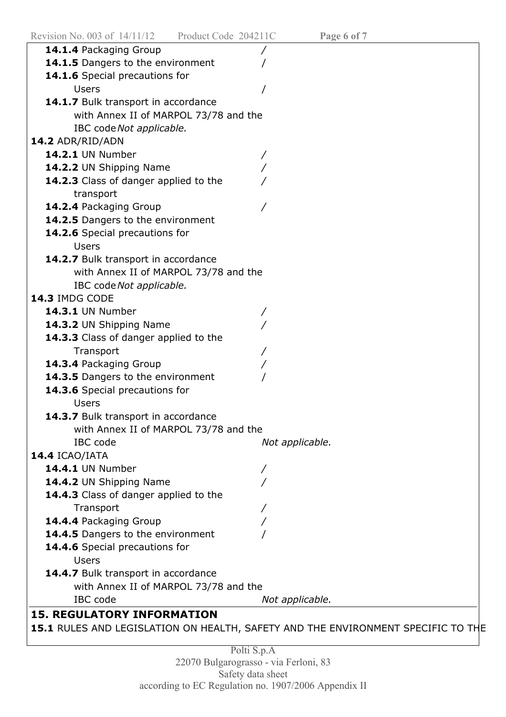| 14.1.4 Packaging Group                |                                                                                  |
|---------------------------------------|----------------------------------------------------------------------------------|
| 14.1.5 Dangers to the environment     |                                                                                  |
| 14.1.6 Special precautions for        |                                                                                  |
| <b>Users</b>                          |                                                                                  |
| 14.1.7 Bulk transport in accordance   |                                                                                  |
| with Annex II of MARPOL 73/78 and the |                                                                                  |
| IBC code Not applicable.              |                                                                                  |
| 14.2 ADR/RID/ADN                      |                                                                                  |
| <b>14.2.1 UN Number</b>               |                                                                                  |
| 14.2.2 UN Shipping Name               |                                                                                  |
| 14.2.3 Class of danger applied to the |                                                                                  |
| transport                             |                                                                                  |
| 14.2.4 Packaging Group                |                                                                                  |
| 14.2.5 Dangers to the environment     |                                                                                  |
| 14.2.6 Special precautions for        |                                                                                  |
| <b>Users</b>                          |                                                                                  |
| 14.2.7 Bulk transport in accordance   |                                                                                  |
| with Annex II of MARPOL 73/78 and the |                                                                                  |
| IBC code Not applicable.              |                                                                                  |
| 14.3 IMDG CODE                        |                                                                                  |
| <b>14.3.1 UN Number</b>               |                                                                                  |
| 14.3.2 UN Shipping Name               |                                                                                  |
| 14.3.3 Class of danger applied to the |                                                                                  |
| Transport                             |                                                                                  |
| 14.3.4 Packaging Group                |                                                                                  |
| 14.3.5 Dangers to the environment     |                                                                                  |
| 14.3.6 Special precautions for        |                                                                                  |
| <b>Users</b>                          |                                                                                  |
| 14.3.7 Bulk transport in accordance   |                                                                                  |
| with Annex II of MARPOL 73/78 and the |                                                                                  |
| IBC code                              | Not applicable.                                                                  |
| 14.4 ICAO/IATA                        |                                                                                  |
| <b>14.4.1 UN Number</b>               |                                                                                  |
| 14.4.2 UN Shipping Name               |                                                                                  |
| 14.4.3 Class of danger applied to the |                                                                                  |
| Transport                             |                                                                                  |
| 14.4.4 Packaging Group                |                                                                                  |
| 14.4.5 Dangers to the environment     |                                                                                  |
| 14.4.6 Special precautions for        |                                                                                  |
| <b>Users</b>                          |                                                                                  |
| 14.4.7 Bulk transport in accordance   |                                                                                  |
| with Annex II of MARPOL 73/78 and the |                                                                                  |
| IBC code                              | Not applicable.                                                                  |
| <b>15. REGULATORY INFORMATION</b>     |                                                                                  |
|                                       | 15.1 RULES AND LEGISLATION ON HEALTH, SAFETY AND THE ENVIRONMENT SPECIFIC TO THE |